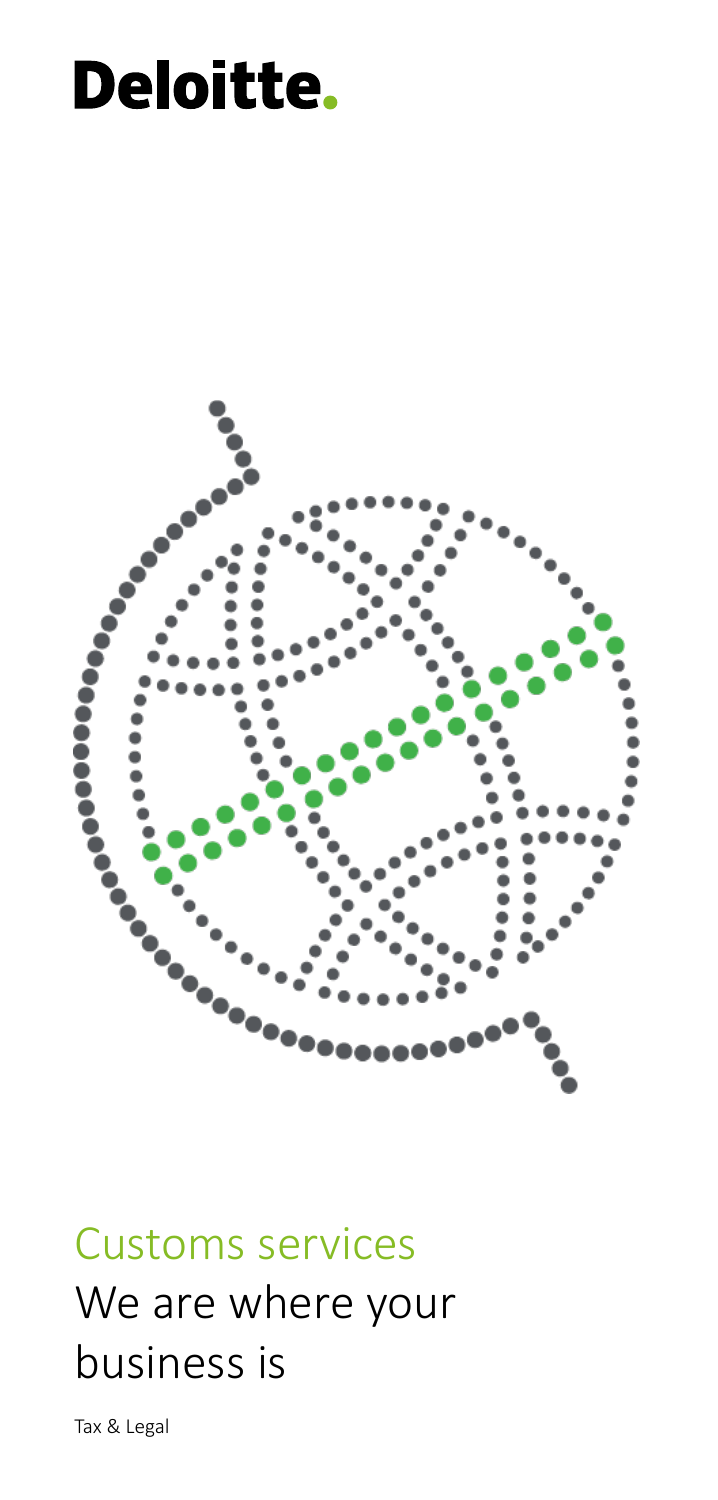# Deloitte.



## Customs services We are where your business is

Tax & Legal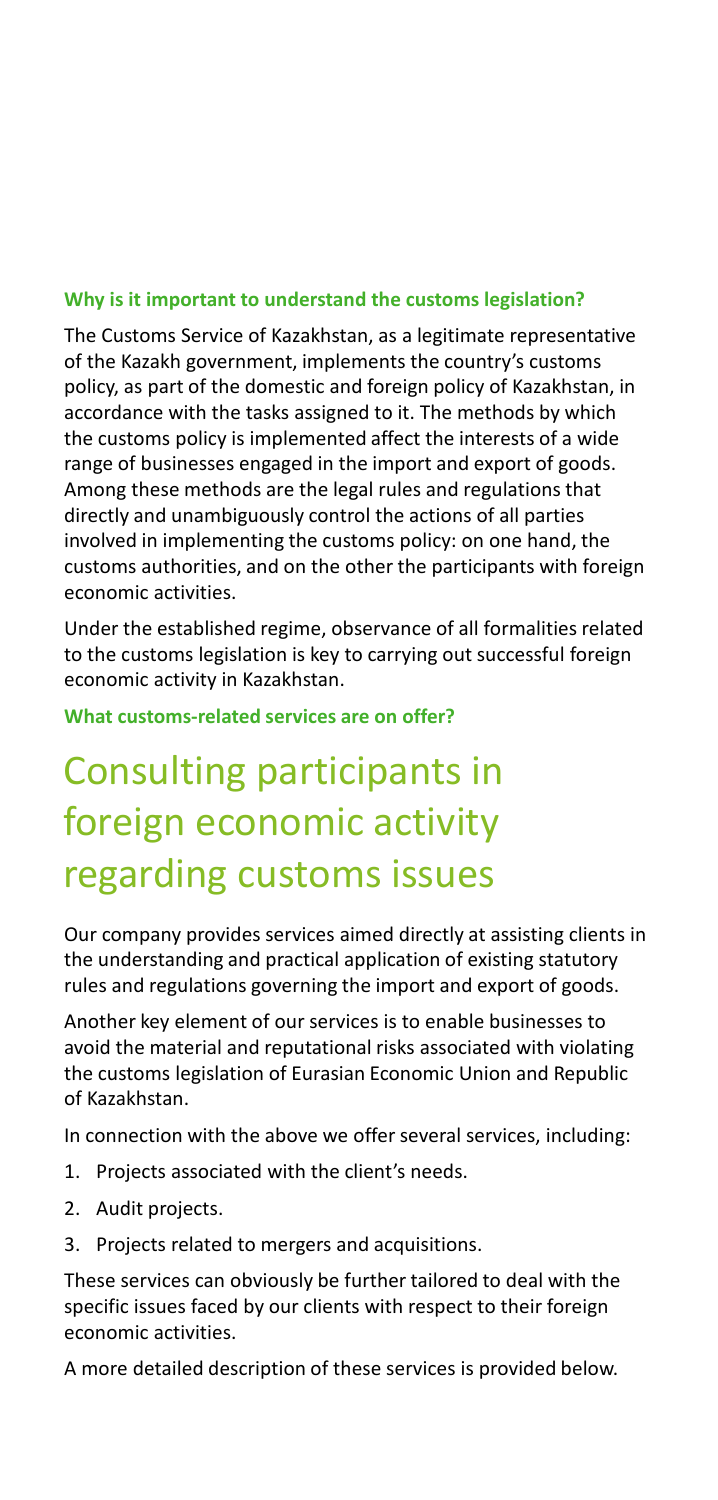#### **Why is it important to understand the customs legislation?**

The Customs Service of Kazakhstan, as a legitimate representative of the Kazakh government, implements the country's customs policy, as part of the domestic and foreign policy of Kazakhstan, in accordance with the tasks assigned to it. The methods by which the customs policy is implemented affect the interests of a wide range of businesses engaged in the import and export of goods. Among these methods are the legal rules and regulations that directly and unambiguously control the actions of all parties involved in implementing the customs policy: on one hand, the customs authorities, and on the other the participants with foreign economic activities.

Under the established regime, observance of all formalities related to the customs legislation is key to carrying out successful foreign economic activity in Kazakhstan.

**What customs-related services are on offer?**

## Consulting participants in foreign economic activity regarding customs issues

Our company provides services aimed directly at assisting clients in the understanding and practical application of existing statutory rules and regulations governing the import and export of goods.

Another key element of our services is to enable businesses to avoid the material and reputational risks associated with violating the customs legislation of Eurasian Economic Union and Republic of Kazakhstan.

In connection with the above we offer several services, including:

- 1. Projects associated with the client's needs.
- 2. Audit projects.
- 3. Projects related to mergers and acquisitions.

These services can obviously be further tailored to deal with the specific issues faced by our clients with respect to their foreign economic activities.

A more detailed description of these services is provided below.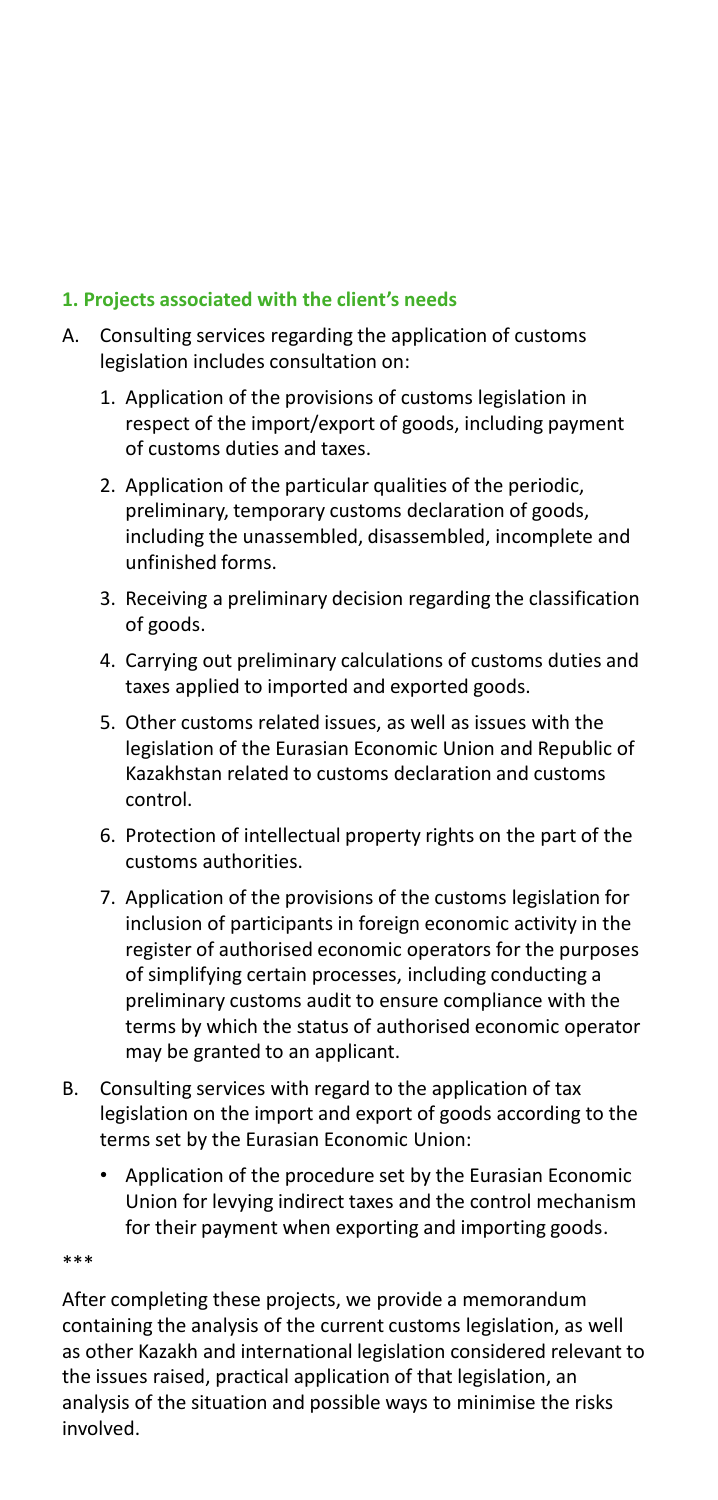#### **1. Projects associated with the client's needs**

- A. Consulting services regarding the application of customs legislation includes consultation on:
	- 1. Application of the provisions of customs legislation in respect of the import/export of goods, including payment of customs duties and taxes.
	- 2. Application of the particular qualities of the periodic, preliminary, temporary customs declaration of goods, including the unassembled, disassembled, incomplete and unfinished forms.
	- 3. Receiving a preliminary decision regarding the classification of goods.
	- 4. Carrying out preliminary calculations of customs duties and taxes applied to imported and exported goods.
	- 5. Other customs related issues, as well as issues with the legislation of the Eurasian Economic Union and Republic of Kazakhstan related to customs declaration and customs control.
	- 6. Protection of intellectual property rights on the part of the customs authorities.
	- 7. Application of the provisions of the customs legislation for inclusion of participants in foreign economic activity in the register of authorised economic operators for the purposes of simplifying certain processes, including conducting a preliminary customs audit to ensure compliance with the terms by which the status of authorised economic operator may be granted to an applicant.
- B. Consulting services with regard to the application of tax legislation on the import and export of goods according to the terms set by the Eurasian Economic Union:
	- Application of the procedure set by the Eurasian Economic Union for levying indirect taxes and the control mechanism for their payment when exporting and importing goods.

\*\*\*

After completing these projects, we provide a memorandum containing the analysis of the current customs legislation, as well as other Kazakh and international legislation considered relevant to the issues raised, practical application of that legislation, an analysis of the situation and possible ways to minimise the risks involved.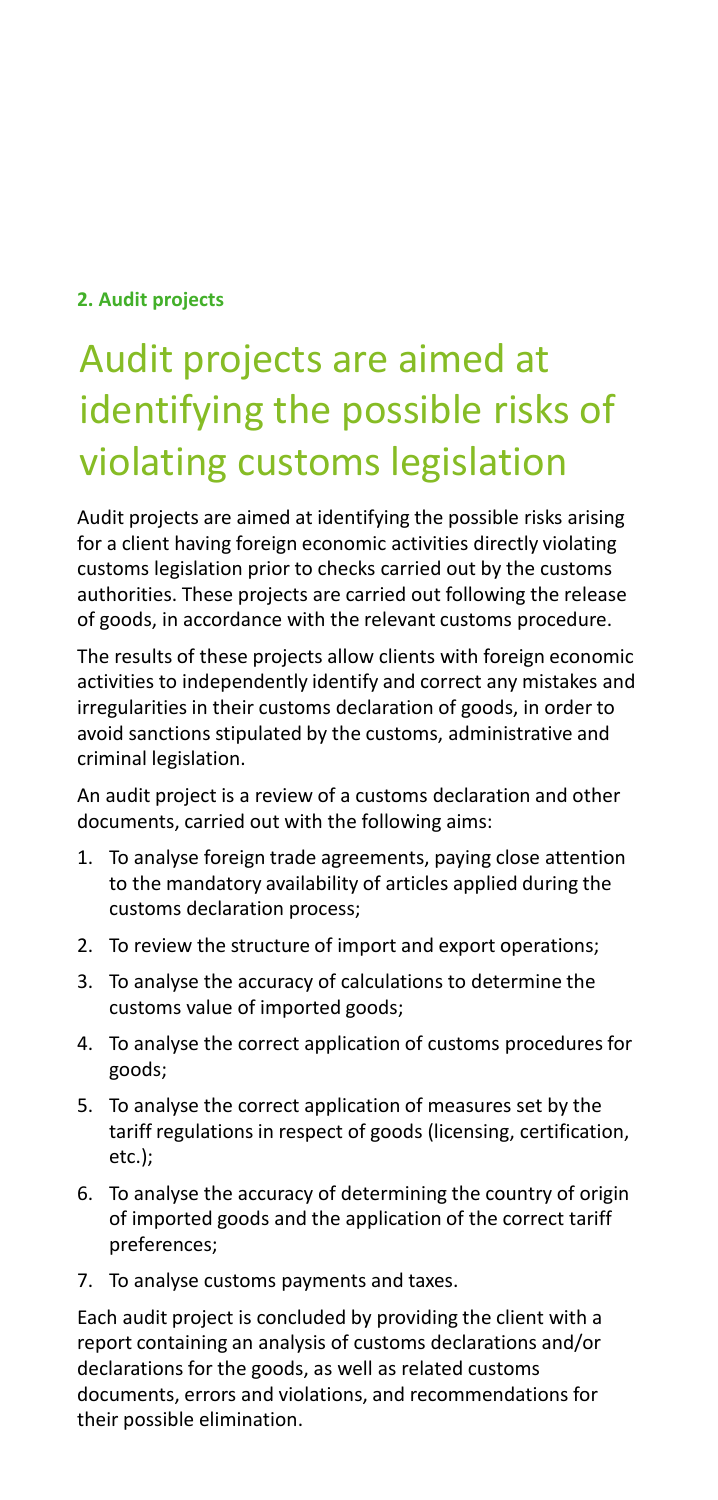#### **2. Audit projects**

## Audit projects are aimed at identifying the possible risks of violating customs legislation

Audit projects are aimed at identifying the possible risks arising for a client having foreign economic activities directly violating customs legislation prior to checks carried out by the customs authorities. These projects are carried out following the release of goods, in accordance with the relevant customs procedure.

The results of these projects allow clients with foreign economic activities to independently identify and correct any mistakes and irregularities in their customs declaration of goods, in order to avoid sanctions stipulated by the customs, administrative and criminal legislation.

An audit project is a review of a customs declaration and other documents, carried out with the following aims:

- 1. To analyse foreign trade agreements, paying close attention to the mandatory availability of articles applied during the customs declaration process;
- 2. To review the structure of import and export operations;
- 3. To analyse the accuracy of calculations to determine the customs value of imported goods;
- 4. To analyse the correct application of customs procedures for goods;
- 5. To analyse the correct application of measures set by the tariff regulations in respect of goods (licensing, certification, etc.);
- 6. To analyse the accuracy of determining the country of origin of imported goods and the application of the correct tariff preferences;
- 7. To analyse customs payments and taxes.

Each audit project is concluded by providing the client with a report containing an analysis of customs declarations and/or declarations for the goods, as well as related customs documents, errors and violations, and recommendations for their possible elimination.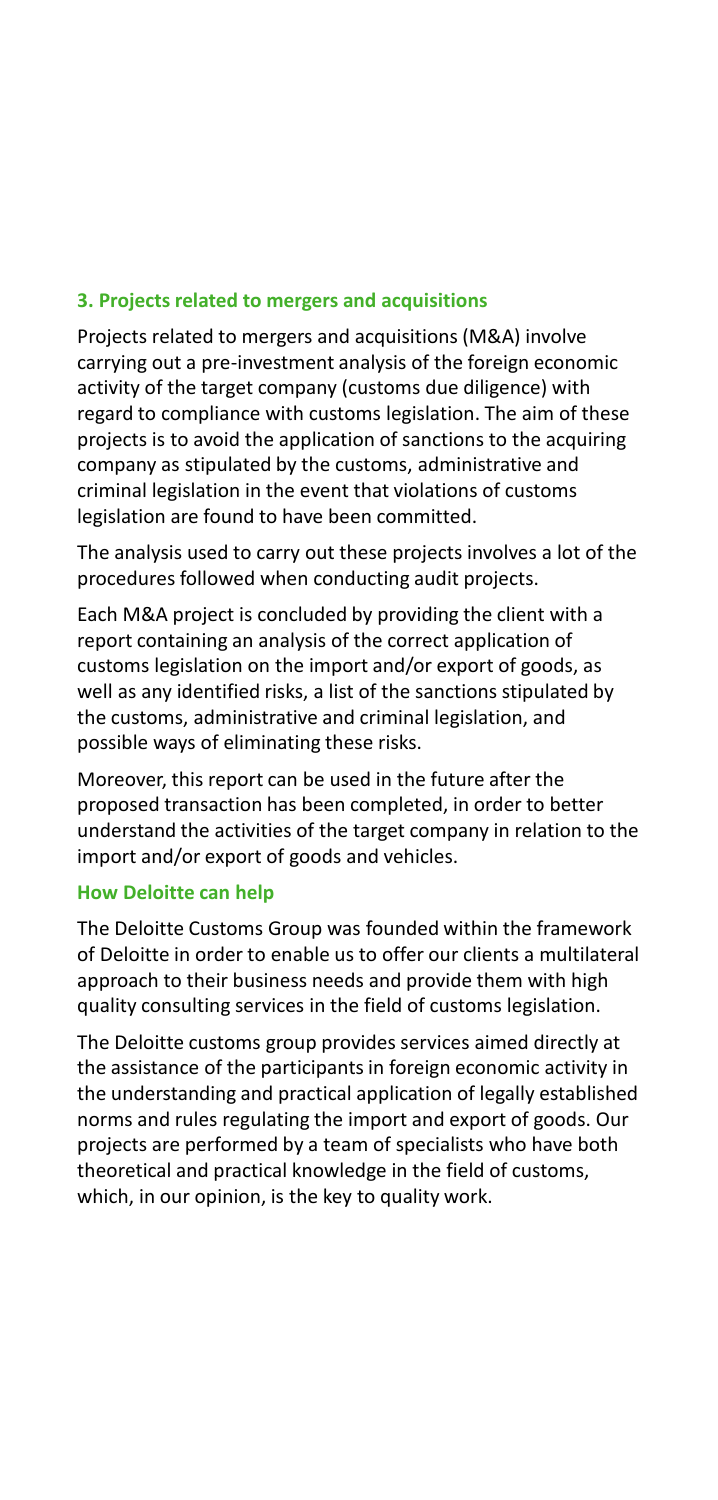#### **3. Projects related to mergers and acquisitions**

Projects related to mergers and acquisitions (M&A) involve carrying out a pre-investment analysis of the foreign economic activity of the target company (customs due diligence) with regard to compliance with customs legislation. The aim of these projects is to avoid the application of sanctions to the acquiring company as stipulated by the customs, administrative and criminal legislation in the event that violations of customs legislation are found to have been committed.

The analysis used to carry out these projects involves a lot of the procedures followed when conducting audit projects.

Each M&A project is concluded by providing the client with a report containing an analysis of the correct application of customs legislation on the import and/or export of goods, as well as any identified risks, a list of the sanctions stipulated by the customs, administrative and criminal legislation, and possible ways of eliminating these risks.

Moreover, this report can be used in the future after the proposed transaction has been completed, in order to better understand the activities of the target company in relation to the import and/or export of goods and vehicles.

#### **How Deloitte can help**

The Deloitte Customs Group was founded within the framework of Deloitte in order to enable us to offer our clients a multilateral approach to their business needs and provide them with high quality consulting services in the field of customs legislation.

The Deloitte customs group provides services aimed directly at the assistance of the participants in foreign economic activity in the understanding and practical application of legally established norms and rules regulating the import and export of goods. Our projects are performed by a team of specialists who have both theoretical and practical knowledge in the field of customs, which, in our opinion, is the key to quality work.